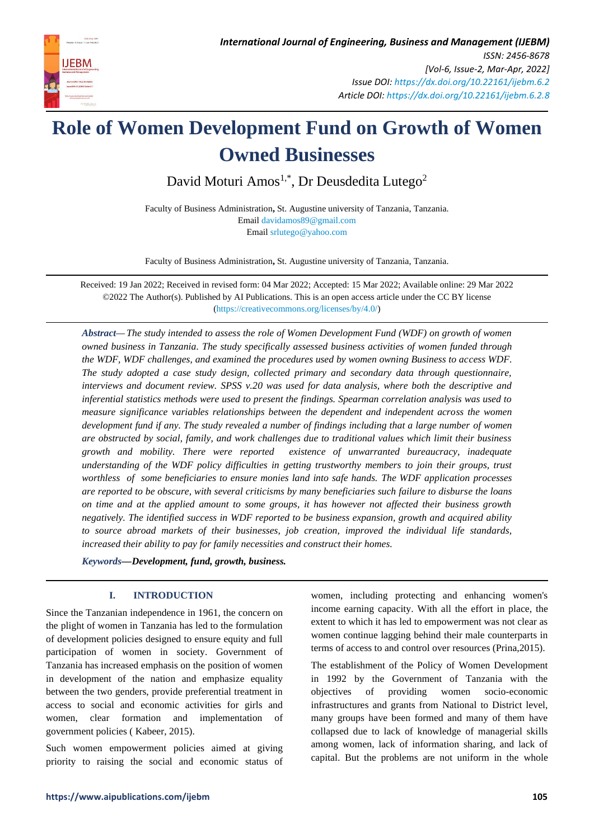

# **Role of Women Development Fund on Growth of Women Owned Businesses**

David Moturi Amos<sup>1,\*</sup>, Dr Deusdedita Lutego<sup>2</sup>

Faculty of Business Administration**,** St. Augustine university of Tanzania, Tanzania. Email [davidamos89@gmail.com](mailto:davidamos89@gmail.com) Email [srlutego@yahoo.com](mailto:srlutego@yahoo.com)

Faculty of Business Administration**,** St. Augustine university of Tanzania, Tanzania.

Received: 19 Jan 2022; Received in revised form: 04 Mar 2022; Accepted: 15 Mar 2022; Available online: 29 Mar 2022 ©2022 The Author(s). Published by AI Publications. This is an open access article under the CC BY license [\(https://creativecommons.org/licenses/by/4.0/\)](https://creativecommons.org/licenses/by/4.0/)

*Abstract— The study intended to assess the role of Women Development Fund (WDF) on growth of women owned business in Tanzania. The study specifically assessed business activities of women funded through the WDF, WDF challenges, and examined the procedures used by women owning Business to access WDF. The study adopted a case study design, collected primary and secondary data through questionnaire, interviews and document review. SPSS v.20 was used for data analysis, where both the descriptive and inferential statistics methods were used to present the findings. Spearman correlation analysis was used to measure significance variables relationships between the dependent and independent across the women development fund if any. The study revealed a number of findings including that a large number of women are obstructed by social, family, and work challenges due to traditional values which limit their business growth and mobility. There were reported existence of unwarranted bureaucracy, inadequate understanding of the WDF policy difficulties in getting trustworthy members to join their groups, trust worthless of some beneficiaries to ensure monies land into safe hands. The WDF application processes are reported to be obscure, with several criticisms by many beneficiaries such failure to disburse the loans on time and at the applied amount to some groups, it has however not affected their business growth negatively. The identified success in WDF reported to be business expansion, growth and acquired ability to source abroad markets of their businesses, job creation, improved the individual life standards, increased their ability to pay for family necessities and construct their homes.*

*Keywords—Development, fund, growth, business.*

# **I. INTRODUCTION**

Since the Tanzanian independence in 1961, the concern on the plight of women in Tanzania has led to the formulation of development policies designed to ensure equity and full participation of women in society. Government of Tanzania has increased emphasis on the position of women in development of the nation and emphasize equality between the two genders, provide preferential treatment in access to social and economic activities for girls and women, clear formation and implementation government policies ( Kabeer, 2015).

Such women empowerment policies aimed at giving priority to raising the social and economic status of women, including protecting and enhancing women's income earning capacity. With all the effort in place, the extent to which it has led to empowerment was not clear as women continue lagging behind their male counterparts in terms of access to and control over resources (Prina,2015).

The establishment of the Policy of Women Development in 1992 by the Government of Tanzania with the objectives of providing women socio-economic infrastructures and grants from National to District level, many groups have been formed and many of them have collapsed due to lack of knowledge of managerial skills among women, lack of information sharing, and lack of capital. But the problems are not uniform in the whole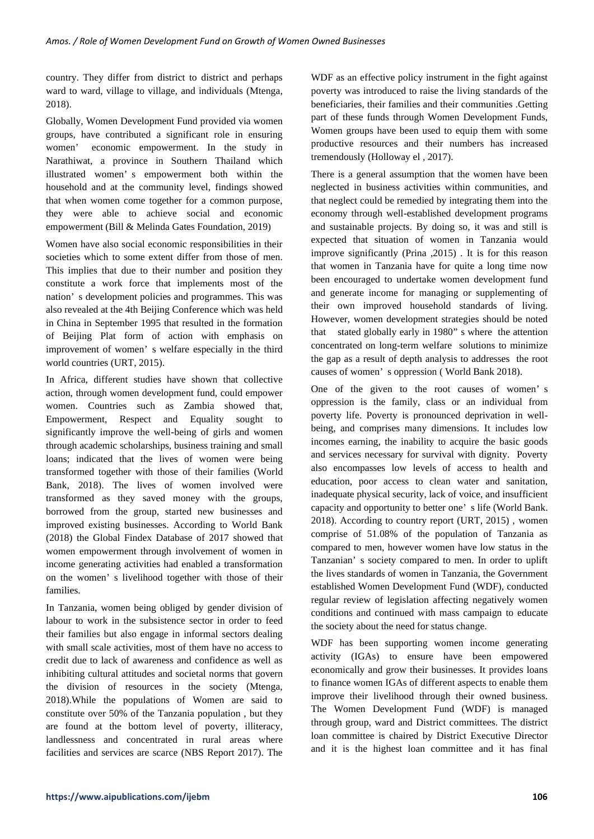country. They differ from district to district and perhaps ward to ward, village to village, and individuals (Mtenga, 2018).

Globally, Women Development Fund provided via women groups, have contributed a significant role in ensuring women' economic empowerment. In the study in Narathiwat, a province in Southern Thailand which illustrated women' s empowerment both within the household and at the community level, findings showed that when women come together for a common purpose, they were able to achieve social and economic empowerment (Bill & Melinda Gates Foundation, 2019)

Women have also social economic responsibilities in their societies which to some extent differ from those of men. This implies that due to their number and position they constitute a work force that implements most of the nation' s development policies and programmes. This was also revealed at the 4th Beijing Conference which was held in China in September 1995 that resulted in the formation of Beijing Plat form of action with emphasis on improvement of women' s welfare especially in the third world countries (URT, 2015).

In Africa, different studies have shown that collective action, through women development fund, could empower women. Countries such as Zambia showed that, Empowerment, Respect and Equality sought to significantly improve the well-being of girls and women through academic scholarships, business training and small loans; indicated that the lives of women were being transformed together with those of their families (World Bank, 2018). The lives of women involved were transformed as they saved money with the groups, borrowed from the group, started new businesses and improved existing businesses. According to World Bank (2018) the Global Findex Database of 2017 showed that women empowerment through involvement of women in income generating activities had enabled a transformation on the women' s livelihood together with those of their families.

In Tanzania, women being obliged by gender division of labour to work in the subsistence sector in order to feed their families but also engage in informal sectors dealing with small scale activities, most of them have no access to credit due to lack of awareness and confidence as well as inhibiting cultural attitudes and societal norms that govern the division of resources in the society (Mtenga, 2018).While the populations of Women are said to constitute over 50% of the Tanzania population , but they are found at the bottom level of poverty, illiteracy, landlessness and concentrated in rural areas where facilities and services are scarce (NBS Report 2017). The

WDF as an effective policy instrument in the fight against poverty was introduced to raise the living standards of the beneficiaries, their families and their communities .Getting part of these funds through Women Development Funds, Women groups have been used to equip them with some productive resources and their numbers has increased tremendously (Holloway el , 2017).

There is a general assumption that the women have been neglected in business activities within communities, and that neglect could be remedied by integrating them into the economy through well-established development programs and sustainable projects. By doing so, it was and still is expected that situation of women in Tanzania would improve significantly (Prina ,2015) . It is for this reason that women in Tanzania have for quite a long time now been encouraged to undertake women development fund and generate income for managing or supplementing of their own improved household standards of living. However, women development strategies should be noted that stated globally early in 1980" s where the attention concentrated on long-term welfare solutions to minimize the gap as a result of depth analysis to addresses the root causes of women' s oppression ( World Bank 2018).

One of the given to the root causes of women' s oppression is the family, class or an individual from poverty life. Poverty is pronounced deprivation in wellbeing, and comprises many dimensions. It includes low incomes earning, the inability to acquire the basic goods and services necessary for survival with dignity. Poverty also encompasses low levels of access to health and education, poor access to clean water and sanitation, inadequate physical security, lack of voice, and insufficient capacity and opportunity to better one' s life (World Bank. 2018). According to country report (URT, 2015) , women comprise of 51.08% of the population of Tanzania as compared to men, however women have low status in the Tanzanian' s society compared to men. In order to uplift the lives standards of women in Tanzania, the Government established Women Development Fund (WDF), conducted regular review of legislation affecting negatively women conditions and continued with mass campaign to educate the society about the need for status change.

WDF has been supporting women income generating activity (IGAs) to ensure have been empowered economically and grow their businesses. It provides loans to finance women IGAs of different aspects to enable them improve their livelihood through their owned business. The Women Development Fund (WDF) is managed through group, ward and District committees. The district loan committee is chaired by District Executive Director and it is the highest loan committee and it has final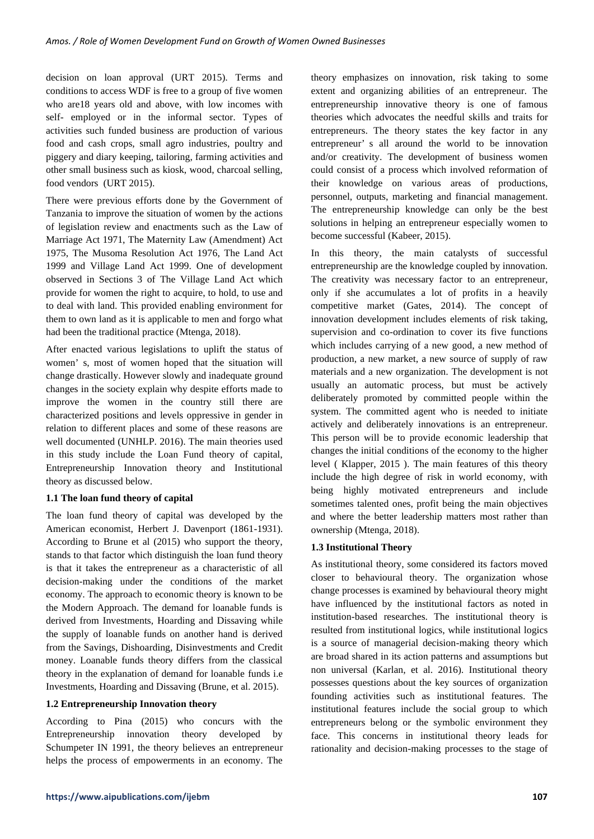decision on loan approval (URT 2015). Terms and conditions to access WDF is free to a group of five women who are18 years old and above, with low incomes with self- employed or in the informal sector. Types of activities such funded business are production of various food and cash crops, small agro industries, poultry and piggery and diary keeping, tailoring, farming activities and other small business such as kiosk, wood, charcoal selling, food vendors (URT 2015).

There were previous efforts done by the Government of Tanzania to improve the situation of women by the actions of legislation review and enactments such as the Law of Marriage Act 1971, The Maternity Law (Amendment) Act 1975, The Musoma Resolution Act 1976, The Land Act 1999 and Village Land Act 1999. One of development observed in Sections 3 of The Village Land Act which provide for women the right to acquire, to hold, to use and to deal with land. This provided enabling environment for them to own land as it is applicable to men and forgo what had been the traditional practice (Mtenga, 2018).

After enacted various legislations to uplift the status of women' s, most of women hoped that the situation will change drastically. However slowly and inadequate ground changes in the society explain why despite efforts made to improve the women in the country still there are characterized positions and levels oppressive in gender in relation to different places and some of these reasons are well documented (UNHLP. 2016). The main theories used in this study include the Loan Fund theory of capital, Entrepreneurship Innovation theory and Institutional theory as discussed below.

# **1.1 The loan fund theory of capital**

The loan fund theory of capital was developed by the American economist, Herbert J. Davenport (1861-1931). According to Brune et al (2015) who support the theory, stands to that factor which distinguish the loan fund theory is that it takes the entrepreneur as a characteristic of all decision-making under the conditions of the market economy. The approach to economic theory is known to be the Modern Approach. The demand for loanable funds is derived from Investments, Hoarding and Dissaving while the supply of loanable funds on another hand is derived from the Savings, Dishoarding, Disinvestments and Credit money. Loanable funds theory differs from the classical theory in the explanation of demand for loanable funds i.e Investments, Hoarding and Dissaving (Brune, et al. 2015).

# **1.2 Entrepreneurship Innovation theory**

According to Pina (2015) who concurs with the Entrepreneurship innovation theory developed by Schumpeter IN 1991, the theory believes an entrepreneur helps the process of empowerments in an economy. The theory emphasizes on innovation, risk taking to some extent and organizing abilities of an entrepreneur. The entrepreneurship innovative theory is one of famous theories which advocates the needful skills and traits for entrepreneurs. The theory states the key factor in any entrepreneur' s all around the world to be innovation and/or creativity. The development of business women could consist of a process which involved reformation of their knowledge on various areas of productions, personnel, outputs, marketing and financial management. The entrepreneurship knowledge can only be the best solutions in helping an entrepreneur especially women to become successful (Kabeer, 2015).

In this theory, the main catalysts of successful entrepreneurship are the knowledge coupled by innovation. The creativity was necessary factor to an entrepreneur, only if she accumulates a lot of profits in a heavily competitive market (Gates, 2014). The concept of innovation development includes elements of risk taking, supervision and co-ordination to cover its five functions which includes carrying of a new good, a new method of production, a new market, a new source of supply of raw materials and a new organization. The development is not usually an automatic process, but must be actively deliberately promoted by committed people within the system. The committed agent who is needed to initiate actively and deliberately innovations is an entrepreneur. This person will be to provide economic leadership that changes the initial conditions of the economy to the higher level ( Klapper, 2015 ). The main features of this theory include the high degree of risk in world economy, with being highly motivated entrepreneurs and include sometimes talented ones, profit being the main objectives and where the better leadership matters most rather than ownership (Mtenga, 2018).

## **1.3 Institutional Theory**

As institutional theory, some considered its factors moved closer to behavioural theory. The organization whose change processes is examined by behavioural theory might have influenced by the institutional factors as noted in institution-based researches. The institutional theory is resulted from institutional logics, while institutional logics is a source of managerial decision-making theory which are broad shared in its action patterns and assumptions but non universal (Karlan, et al. 2016). Institutional theory possesses questions about the key sources of organization founding activities such as institutional features. The institutional features include the social group to which entrepreneurs belong or the symbolic environment they face. This concerns in institutional theory leads for rationality and decision-making processes to the stage of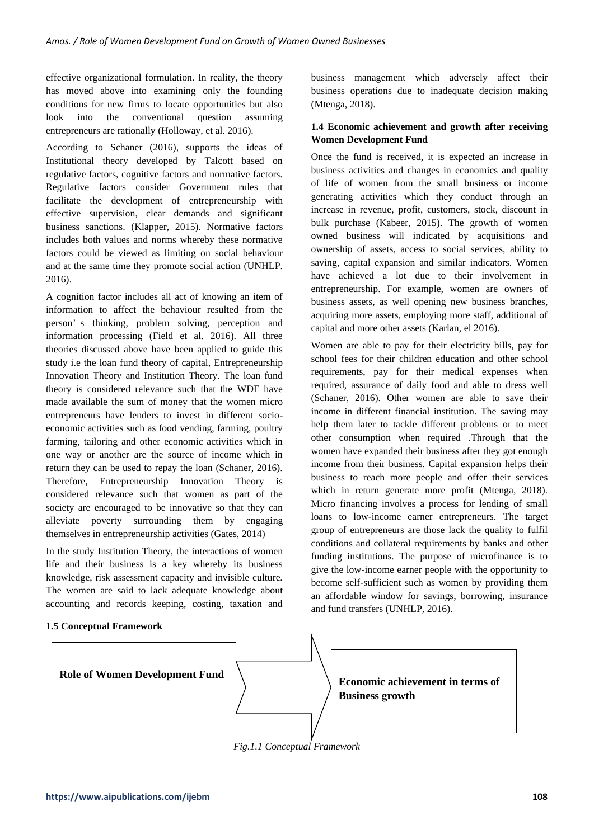effective organizational formulation. In reality, the theory has moved above into examining only the founding conditions for new firms to locate opportunities but also look into the conventional question assuming entrepreneurs are rationally (Holloway, et al. 2016).

According to Schaner (2016), supports the ideas of Institutional theory developed by Talcott based on regulative factors, cognitive factors and normative factors. Regulative factors consider Government rules that facilitate the development of entrepreneurship with effective supervision, clear demands and significant business sanctions. (Klapper, 2015). Normative factors includes both values and norms whereby these normative factors could be viewed as limiting on social behaviour and at the same time they promote social action (UNHLP. 2016).

A cognition factor includes all act of knowing an item of information to affect the behaviour resulted from the person' s thinking, problem solving, perception and information processing (Field et al. 2016). All three theories discussed above have been applied to guide this study i.e the loan fund theory of capital, Entrepreneurship Innovation Theory and Institution Theory. The loan fund theory is considered relevance such that the WDF have made available the sum of money that the women micro entrepreneurs have lenders to invest in different socioeconomic activities such as food vending, farming, poultry farming, tailoring and other economic activities which in one way or another are the source of income which in return they can be used to repay the loan (Schaner, 2016). Therefore, Entrepreneurship Innovation Theory is considered relevance such that women as part of the society are encouraged to be innovative so that they can alleviate poverty surrounding them by engaging themselves in entrepreneurship activities (Gates, 2014)

In the study Institution Theory, the interactions of women life and their business is a key whereby its business knowledge, risk assessment capacity and invisible culture. The women are said to lack adequate knowledge about accounting and records keeping, costing, taxation and

# **1.5 Conceptual Framework**

business management which adversely affect their business operations due to inadequate decision making (Mtenga, 2018).

# **1.4 Economic achievement and growth after receiving Women Development Fund**

Once the fund is received, it is expected an increase in business activities and changes in economics and quality of life of women from the small business or income generating activities which they conduct through an increase in revenue, profit, customers, stock, discount in bulk purchase (Kabeer, 2015). The growth of women owned business will indicated by acquisitions and ownership of assets, access to social services, ability to saving, capital expansion and similar indicators. Women have achieved a lot due to their involvement in entrepreneurship. For example, women are owners of business assets, as well opening new business branches, acquiring more assets, employing more staff, additional of capital and more other assets (Karlan, el 2016).

Women are able to pay for their electricity bills, pay for school fees for their children education and other school requirements, pay for their medical expenses when required, assurance of daily food and able to dress well (Schaner, 2016). Other women are able to save their income in different financial institution. The saving may help them later to tackle different problems or to meet other consumption when required .Through that the women have expanded their business after they got enough income from their business. Capital expansion helps their business to reach more people and offer their services which in return generate more profit (Mtenga, 2018). Micro financing involves a process for lending of small loans to low-income earner entrepreneurs. The target group of entrepreneurs are those lack the quality to fulfil conditions and collateral requirements by banks and other funding institutions. The purpose of microfinance is to give the low-income earner people with the opportunity to become self-sufficient such as women by providing them an affordable window for savings, borrowing, insurance and fund transfers (UNHLP, 2016).



*Fig.1.1 Conceptual Framework*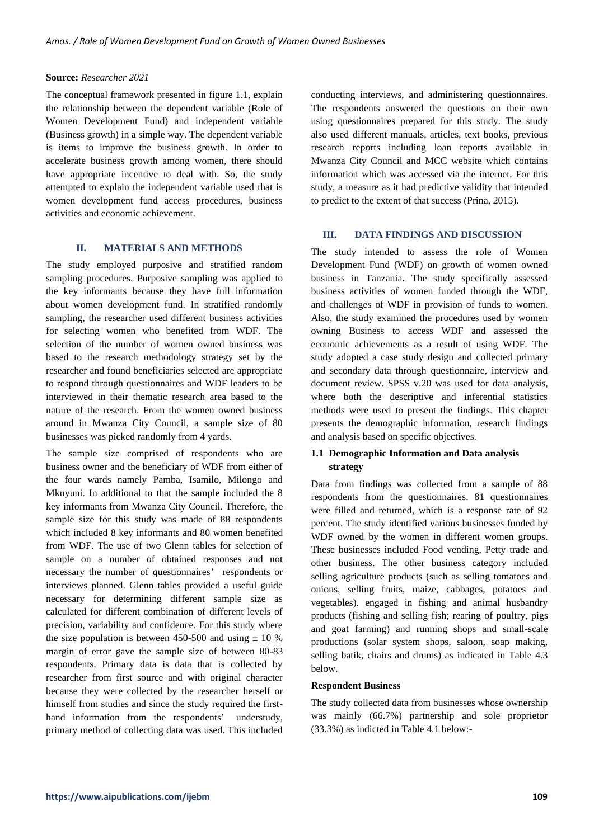#### **Source:** *Researcher 2021*

The conceptual framework presented in figure 1.1, explain the relationship between the dependent variable (Role of Women Development Fund) and independent variable (Business growth) in a simple way. The dependent variable is items to improve the business growth. In order to accelerate business growth among women, there should have appropriate incentive to deal with. So, the study attempted to explain the independent variable used that is women development fund access procedures, business activities and economic achievement.

## **II. MATERIALS AND METHODS**

The study employed purposive and stratified random sampling procedures. Purposive sampling was applied to the key informants because they have full information about women development fund. In stratified randomly sampling, the researcher used different business activities for selecting women who benefited from WDF. The selection of the number of women owned business was based to the research methodology strategy set by the researcher and found beneficiaries selected are appropriate to respond through questionnaires and WDF leaders to be interviewed in their thematic research area based to the nature of the research. From the women owned business around in Mwanza City Council, a sample size of 80 businesses was picked randomly from 4 yards.

The sample size comprised of respondents who are business owner and the beneficiary of WDF from either of the four wards namely Pamba, Isamilo, Milongo and Mkuyuni. In additional to that the sample included the 8 key informants from Mwanza City Council. Therefore, the sample size for this study was made of 88 respondents which included 8 key informants and 80 women benefited from WDF. The use of two Glenn tables for selection of sample on a number of obtained responses and not necessary the number of questionnaires' respondents or interviews planned. Glenn tables provided a useful guide necessary for determining different sample size as calculated for different combination of different levels of precision, variability and confidence. For this study where the size population is between 450-500 and using  $\pm$  10 % margin of error gave the sample size of between 80-83 respondents. Primary data is data that is collected by researcher from first source and with original character because they were collected by the researcher herself or himself from studies and since the study required the firsthand information from the respondents' understudy, primary method of collecting data was used. This included

conducting interviews, and administering questionnaires. The respondents answered the questions on their own using questionnaires prepared for this study. The study also used different manuals, articles, text books, previous research reports including loan reports available in Mwanza City Council and MCC website which contains information which was accessed via the internet. For this study, a measure as it had predictive validity that intended to predict to the extent of that success (Prina, 2015).

#### **III. DATA FINDINGS AND DISCUSSION**

The study intended to assess the role of Women Development Fund (WDF) on growth of women owned business in Tanzania**.** The study specifically assessed business activities of women funded through the WDF, and challenges of WDF in provision of funds to women. Also, the study examined the procedures used by women owning Business to access WDF and assessed the economic achievements as a result of using WDF. The study adopted a case study design and collected primary and secondary data through questionnaire, interview and document review. SPSS v.20 was used for data analysis, where both the descriptive and inferential statistics methods were used to present the findings. This chapter presents the demographic information, research findings and analysis based on specific objectives.

## **1.1 Demographic Information and Data analysis strategy**

Data from findings was collected from a sample of 88 respondents from the questionnaires. 81 questionnaires were filled and returned, which is a response rate of 92 percent. The study identified various businesses funded by WDF owned by the women in different women groups. These businesses included Food vending, Petty trade and other business. The other business category included selling agriculture products (such as selling tomatoes and onions, selling fruits, maize, cabbages, potatoes and vegetables). engaged in fishing and animal husbandry products (fishing and selling fish; rearing of poultry, pigs and goat farming) and running shops and small-scale productions (solar system shops, saloon, soap making, selling batik, chairs and drums) as indicated in Table 4.3 below.

## **Respondent Business**

The study collected data from businesses whose ownership was mainly (66.7%) partnership and sole proprietor (33.3%) as indicted in Table 4.1 below:-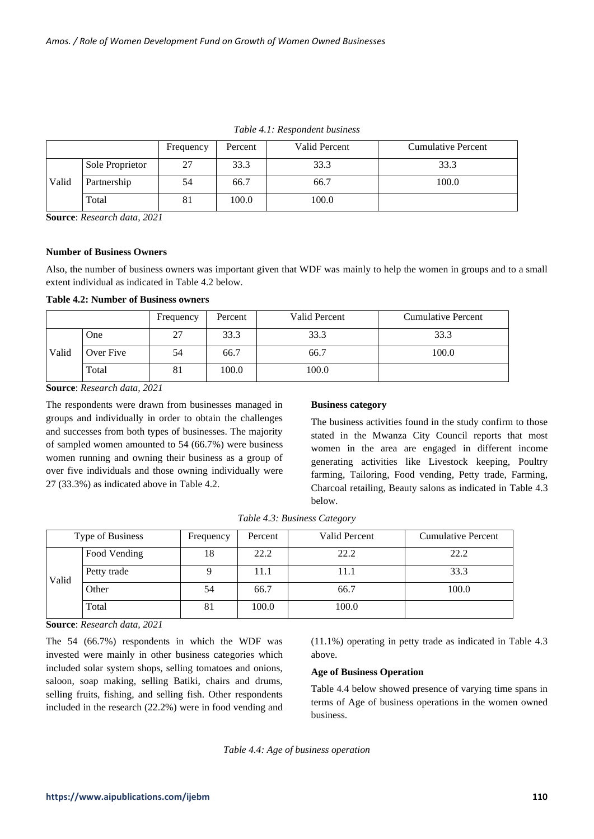|       |                 | Frequency | Percent | Valid Percent | <b>Cumulative Percent</b> |
|-------|-----------------|-----------|---------|---------------|---------------------------|
|       | Sole Proprietor | 27        | 33.3    | 33.3          | 33.3                      |
| Valid | Partnership     | 54        | 66.7    | 66.7          | 100.0                     |
|       | Total           | 81        | 100.0   | 100.0         |                           |

*Table 4.1: Respondent business*

**Source**: *Research data, 2021*

#### **Number of Business Owners**

Also, the number of business owners was important given that WDF was mainly to help the women in groups and to a small extent individual as indicated in Table 4.2 below.

**Table 4.2: Number of Business owners**

|       |           | Frequency | Percent | Valid Percent | <b>Cumulative Percent</b> |  |  |
|-------|-----------|-----------|---------|---------------|---------------------------|--|--|
|       | One       |           | 33.3    | 33.3          | 33.3                      |  |  |
| Valid | Over Five | 54        | 66.7    | 66.7          | 100.0                     |  |  |
|       | Total     | 81        | 100.0   | 100.0         |                           |  |  |

**Source**: *Research data, 2021*

The respondents were drawn from businesses managed in groups and individually in order to obtain the challenges and successes from both types of businesses. The majority of sampled women amounted to 54 (66.7%) were business women running and owning their business as a group of over five individuals and those owning individually were 27 (33.3%) as indicated above in Table 4.2.

#### **Business category**

The business activities found in the study confirm to those stated in the Mwanza City Council reports that most women in the area are engaged in different income generating activities like Livestock keeping, Poultry farming, Tailoring, Food vending, Petty trade, Farming, Charcoal retailing, Beauty salons as indicated in Table 4.3 below.

| Type of Business |              | Frequency | Percent | Valid Percent | <b>Cumulative Percent</b> |  |
|------------------|--------------|-----------|---------|---------------|---------------------------|--|
| Valid            | Food Vending | 18        | 22.2    | 22.2          | 22.2                      |  |
|                  | Petty trade  |           | 11.1    | 11.1          | 33.3                      |  |
|                  | Other        | 54        | 66.7    | 66.7          | 100.0                     |  |
|                  | Total        | 81        | 100.0   | 100.0         |                           |  |

*Table 4.3: Business Category*

**Source**: *Research data, 2021*

The 54 (66.7%) respondents in which the WDF was invested were mainly in other business categories which included solar system shops, selling tomatoes and onions, saloon, soap making, selling Batiki, chairs and drums, selling fruits, fishing, and selling fish. Other respondents included in the research (22.2%) were in food vending and (11.1%) operating in petty trade as indicated in Table 4.3 above.

#### **Age of Business Operation**

Table 4.4 below showed presence of varying time spans in terms of Age of business operations in the women owned business.

*Table 4.4: Age of business operation*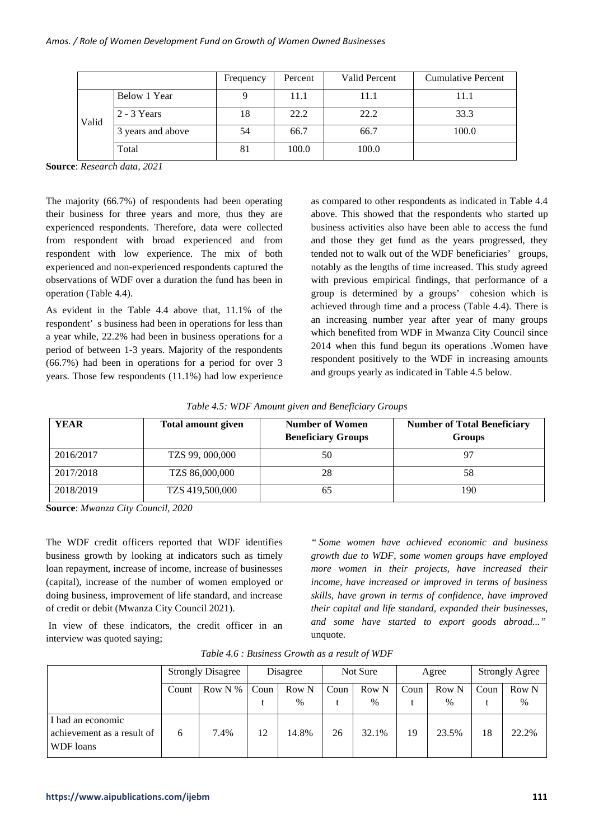|       |                   | Frequency | Percent | Valid Percent | Cumulative Percent |  |
|-------|-------------------|-----------|---------|---------------|--------------------|--|
| Valid | Below 1 Year      |           | 11.1    | 11.1          | 11.1               |  |
|       | $2 - 3$ Years     | 18        | 22.2    | 22.2          | 33.3               |  |
|       | 3 years and above | 54        | 66.7    | 66.7          | 100.0              |  |
|       | Total             | 81        | 100.0   | 100.0         |                    |  |

**Source**: *Research data, 2021*

The majority (66.7%) of respondents had been operating their business for three years and more, thus they are experienced respondents. Therefore, data were collected from respondent with broad experienced and from respondent with low experience. The mix of both experienced and non-experienced respondents captured the observations of WDF over a duration the fund has been in operation (Table 4.4).

As evident in the Table 4.4 above that, 11.1% of the respondent' s business had been in operations for less than a year while, 22.2% had been in business operations for a period of between 1-3 years. Majority of the respondents (66.7%) had been in operations for a period for over 3 years. Those few respondents (11.1%) had low experience

as compared to other respondents as indicated in Table 4.4 above. This showed that the respondents who started up business activities also have been able to access the fund and those they get fund as the years progressed, they tended not to walk out of the WDF beneficiaries' groups, notably as the lengths of time increased. This study agreed with previous empirical findings, that performance of a group is determined by a groups' cohesion which is achieved through time and a process (Table 4.4). There is an increasing number year after year of many groups which benefited from WDF in Mwanza City Council since 2014 when this fund begun its operations .Women have respondent positively to the WDF in increasing amounts and groups yearly as indicated in Table 4.5 below.

|  |  |  |  | Table 4.5: WDF Amount given and Beneficiary Groups |  |
|--|--|--|--|----------------------------------------------------|--|
|--|--|--|--|----------------------------------------------------|--|

| <b>YEAR</b> | Total amount given | <b>Number of Women</b><br><b>Beneficiary Groups</b> | <b>Number of Total Beneficiary</b><br><b>Groups</b> |  |  |  |
|-------------|--------------------|-----------------------------------------------------|-----------------------------------------------------|--|--|--|
| 2016/2017   | TZS 99, 000,000    | 50                                                  |                                                     |  |  |  |
| 2017/2018   | TZS 86,000,000     | 28                                                  | 58                                                  |  |  |  |
| 2018/2019   | TZS 419,500,000    | 65                                                  | 190                                                 |  |  |  |

**Source**: *Mwanza City Council, 2020*

The WDF credit officers reported that WDF identifies business growth by looking at indicators such as timely loan repayment, increase of income, increase of businesses (capital), increase of the number of women employed or doing business, improvement of life standard, and increase of credit or debit (Mwanza City Council 2021).

In view of these indicators, the credit officer in an interview was quoted saying;

*" Some women have achieved economic and business growth due to WDF, some women groups have employed more women in their projects, have increased their income, have increased or improved in terms of business skills, have grown in terms of confidence, have improved their capital and life standard, expanded their businesses, and some have started to export goods abroad..."* unquote.

|                                                              | <b>Strongly Disagree</b><br>Row N $%$<br>Count |      | Disagree |       | Not Sure |               | Agree |       | <b>Strongly Agree</b> |       |
|--------------------------------------------------------------|------------------------------------------------|------|----------|-------|----------|---------------|-------|-------|-----------------------|-------|
|                                                              |                                                |      | Coun     | Row N | Coun     | Row N         | Coun  | Row N | Coun                  | Row N |
|                                                              |                                                |      |          | $\%$  |          | $\frac{0}{0}$ |       | $\%$  |                       | $\%$  |
| I had an economic<br>achievement as a result of<br>WDF loans | 6                                              | 7.4% | 12       | 14.8% | 26       | 32.1%         | 19    | 23.5% | 18                    | 22.2% |

*Table 4.6 : Business Growth as a result of WDF*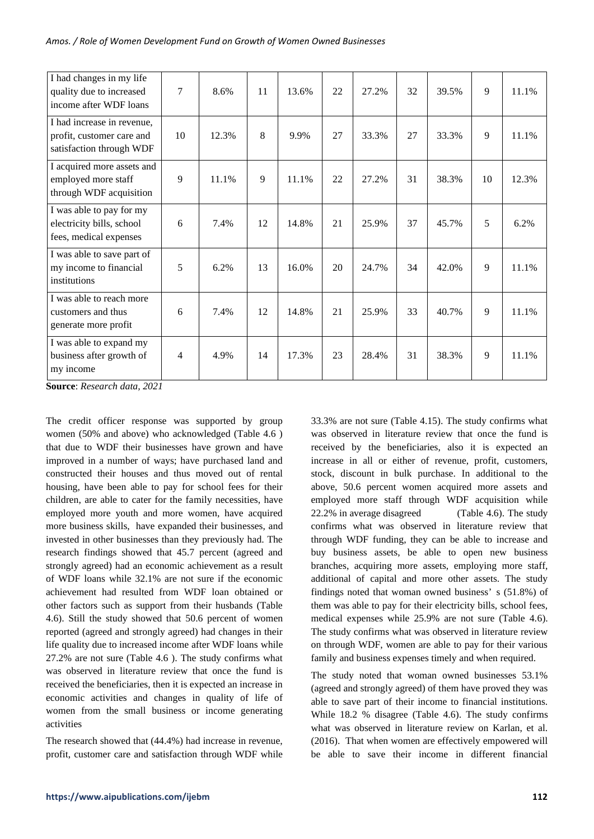| I had changes in my life<br>quality due to increased<br>income after WDF loans      | $\overline{7}$ | 8.6%  | 11 | 13.6% | 22 | 27.2% | 32 | 39.5% | 9  | 11.1% |
|-------------------------------------------------------------------------------------|----------------|-------|----|-------|----|-------|----|-------|----|-------|
| I had increase in revenue,<br>profit, customer care and<br>satisfaction through WDF | 10             | 12.3% | 8  | 9.9%  | 27 | 33.3% | 27 | 33.3% | 9  | 11.1% |
| I acquired more assets and<br>employed more staff<br>through WDF acquisition        | 9              | 11.1% | 9  | 11.1% | 22 | 27.2% | 31 | 38.3% | 10 | 12.3% |
| I was able to pay for my<br>electricity bills, school<br>fees, medical expenses     | 6              | 7.4%  | 12 | 14.8% | 21 | 25.9% | 37 | 45.7% | 5  | 6.2%  |
| I was able to save part of<br>my income to financial<br>institutions                | 5              | 6.2%  | 13 | 16.0% | 20 | 24.7% | 34 | 42.0% | 9  | 11.1% |
| I was able to reach more<br>customers and thus<br>generate more profit              | 6              | 7.4%  | 12 | 14.8% | 21 | 25.9% | 33 | 40.7% | 9  | 11.1% |
| I was able to expand my<br>business after growth of<br>my income                    | 4              | 4.9%  | 14 | 17.3% | 23 | 28.4% | 31 | 38.3% | 9  | 11.1% |

**Source**: *Research data, 2021*

The credit officer response was supported by group women (50% and above) who acknowledged (Table 4.6 ) that due to WDF their businesses have grown and have improved in a number of ways; have purchased land and constructed their houses and thus moved out of rental housing, have been able to pay for school fees for their children, are able to cater for the family necessities, have employed more youth and more women, have acquired more business skills, have expanded their businesses, and invested in other businesses than they previously had. The research findings showed that 45.7 percent (agreed and strongly agreed) had an economic achievement as a result of WDF loans while 32.1% are not sure if the economic achievement had resulted from WDF loan obtained or other factors such as support from their husbands (Table 4.6). Still the study showed that 50.6 percent of women reported (agreed and strongly agreed) had changes in their life quality due to increased income after WDF loans while 27.2% are not sure (Table 4.6 ). The study confirms what was observed in literature review that once the fund is received the beneficiaries, then it is expected an increase in economic activities and changes in quality of life of women from the small business or income generating activities

The research showed that (44.4%) had increase in revenue, profit, customer care and satisfaction through WDF while

33.3% are not sure (Table 4.15). The study confirms what was observed in literature review that once the fund is received by the beneficiaries, also it is expected an increase in all or either of revenue, profit, customers, stock, discount in bulk purchase. In additional to the above, 50.6 percent women acquired more assets and employed more staff through WDF acquisition while 22.2% in average disagreed (Table 4.6). The study confirms what was observed in literature review that through WDF funding, they can be able to increase and buy business assets, be able to open new business branches, acquiring more assets, employing more staff, additional of capital and more other assets. The study findings noted that woman owned business' s (51.8%) of them was able to pay for their electricity bills, school fees, medical expenses while 25.9% are not sure (Table 4.6). The study confirms what was observed in literature review on through WDF, women are able to pay for their various family and business expenses timely and when required.

The study noted that woman owned businesses 53.1% (agreed and strongly agreed) of them have proved they was able to save part of their income to financial institutions. While 18.2 % disagree (Table 4.6). The study confirms what was observed in literature review on Karlan, et al. (2016). That when women are effectively empowered will be able to save their income in different financial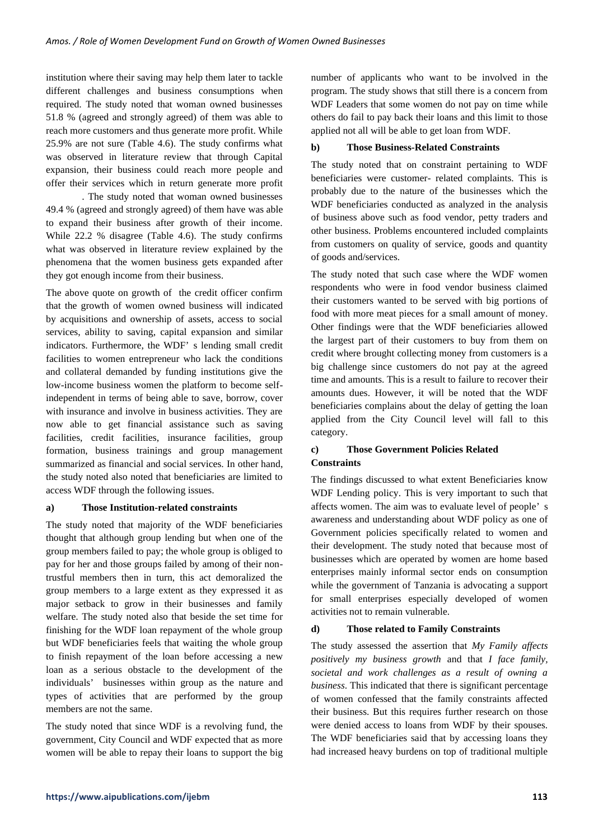institution where their saving may help them later to tackle different challenges and business consumptions when required. The study noted that woman owned businesses 51.8 % (agreed and strongly agreed) of them was able to reach more customers and thus generate more profit. While 25.9% are not sure (Table 4.6). The study confirms what was observed in literature review that through Capital expansion, their business could reach more people and offer their services which in return generate more profit

. The study noted that woman owned businesses 49.4 % (agreed and strongly agreed) of them have was able to expand their business after growth of their income. While 22.2 % disagree (Table 4.6). The study confirms what was observed in literature review explained by the phenomena that the women business gets expanded after they got enough income from their business.

The above quote on growth of the credit officer confirm that the growth of women owned business will indicated by acquisitions and ownership of assets, access to social services, ability to saving, capital expansion and similar indicators. Furthermore, the WDF' s lending small credit facilities to women entrepreneur who lack the conditions and collateral demanded by funding institutions give the low-income business women the platform to become selfindependent in terms of being able to save, borrow, cover with insurance and involve in business activities. They are now able to get financial assistance such as saving facilities, credit facilities, insurance facilities, group formation, business trainings and group management summarized as financial and social services. In other hand, the study noted also noted that beneficiaries are limited to access WDF through the following issues.

## **a) Those Institution-related constraints**

The study noted that majority of the WDF beneficiaries thought that although group lending but when one of the group members failed to pay; the whole group is obliged to pay for her and those groups failed by among of their nontrustful members then in turn, this act demoralized the group members to a large extent as they expressed it as major setback to grow in their businesses and family welfare. The study noted also that beside the set time for finishing for the WDF loan repayment of the whole group but WDF beneficiaries feels that waiting the whole group to finish repayment of the loan before accessing a new loan as a serious obstacle to the development of the individuals' businesses within group as the nature and types of activities that are performed by the group members are not the same.

The study noted that since WDF is a revolving fund, the government, City Council and WDF expected that as more women will be able to repay their loans to support the big number of applicants who want to be involved in the program. The study shows that still there is a concern from WDF Leaders that some women do not pay on time while others do fail to pay back their loans and this limit to those applied not all will be able to get loan from WDF.

## **b) Those Business-Related Constraints**

The study noted that on constraint pertaining to WDF beneficiaries were customer- related complaints. This is probably due to the nature of the businesses which the WDF beneficiaries conducted as analyzed in the analysis of business above such as food vendor, petty traders and other business. Problems encountered included complaints from customers on quality of service, goods and quantity of goods and/services.

The study noted that such case where the WDF women respondents who were in food vendor business claimed their customers wanted to be served with big portions of food with more meat pieces for a small amount of money. Other findings were that the WDF beneficiaries allowed the largest part of their customers to buy from them on credit where brought collecting money from customers is a big challenge since customers do not pay at the agreed time and amounts. This is a result to failure to recover their amounts dues. However, it will be noted that the WDF beneficiaries complains about the delay of getting the loan applied from the City Council level will fall to this category.

# **c) Those Government Policies Related Constraints**

The findings discussed to what extent Beneficiaries know WDF Lending policy. This is very important to such that affects women. The aim was to evaluate level of people' s awareness and understanding about WDF policy as one of Government policies specifically related to women and their development. The study noted that because most of businesses which are operated by women are home based enterprises mainly informal sector ends on consumption while the government of Tanzania is advocating a support for small enterprises especially developed of women activities not to remain vulnerable.

## **d) Those related to Family Constraints**

The study assessed the assertion that *My Family affects positively my business growth* and that *I face family, societal and work challenges as a result of owning a business*. This indicated that there is significant percentage of women confessed that the family constraints affected their business. But this requires further research on those were denied access to loans from WDF by their spouses. The WDF beneficiaries said that by accessing loans they had increased heavy burdens on top of traditional multiple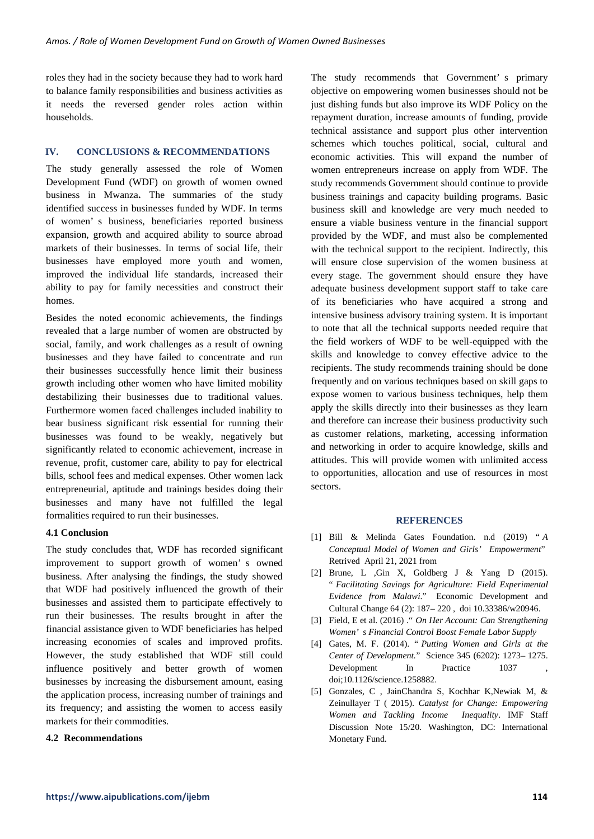roles they had in the society because they had to work hard to balance family responsibilities and business activities as it needs the reversed gender roles action within households.

#### **IV. CONCLUSIONS & RECOMMENDATIONS**

The study generally assessed the role of Women Development Fund (WDF) on growth of women owned business in Mwanza**.** The summaries of the study identified success in businesses funded by WDF. In terms of women' s business, beneficiaries reported business expansion, growth and acquired ability to source abroad markets of their businesses. In terms of social life, their businesses have employed more youth and women, improved the individual life standards, increased their ability to pay for family necessities and construct their homes.

Besides the noted economic achievements, the findings revealed that a large number of women are obstructed by social, family, and work challenges as a result of owning businesses and they have failed to concentrate and run their businesses successfully hence limit their business growth including other women who have limited mobility destabilizing their businesses due to traditional values. Furthermore women faced challenges included inability to bear business significant risk essential for running their businesses was found to be weakly, negatively but significantly related to economic achievement, increase in revenue, profit, customer care, ability to pay for electrical bills, school fees and medical expenses. Other women lack entrepreneurial, aptitude and trainings besides doing their businesses and many have not fulfilled the legal formalities required to run their businesses.

#### **4.1 Conclusion**

The study concludes that, WDF has recorded significant improvement to support growth of women' s owned business. After analysing the findings, the study showed that WDF had positively influenced the growth of their businesses and assisted them to participate effectively to run their businesses. The results brought in after the financial assistance given to WDF beneficiaries has helped increasing economies of scales and improved profits. However, the study established that WDF still could influence positively and better growth of women businesses by increasing the disbursement amount, easing the application process, increasing number of trainings and its frequency; and assisting the women to access easily markets for their commodities.

#### **4.2 Recommendations**

The study recommends that Government' s primary objective on empowering women businesses should not be just dishing funds but also improve its WDF Policy on the repayment duration, increase amounts of funding, provide technical assistance and support plus other intervention schemes which touches political, social, cultural and economic activities. This will expand the number of women entrepreneurs increase on apply from WDF. The study recommends Government should continue to provide business trainings and capacity building programs. Basic business skill and knowledge are very much needed to ensure a viable business venture in the financial support provided by the WDF, and must also be complemented with the technical support to the recipient. Indirectly, this will ensure close supervision of the women business at every stage. The government should ensure they have adequate business development support staff to take care of its beneficiaries who have acquired a strong and intensive business advisory training system. It is important to note that all the technical supports needed require that the field workers of WDF to be well-equipped with the skills and knowledge to convey effective advice to the recipients. The study recommends training should be done frequently and on various techniques based on skill gaps to expose women to various business techniques, help them apply the skills directly into their businesses as they learn and therefore can increase their business productivity such as customer relations, marketing, accessing information and networking in order to acquire knowledge, skills and attitudes. This will provide women with unlimited access to opportunities, allocation and use of resources in most sectors.

#### **REFERENCES**

- [1] Bill & Melinda Gates Foundation. n.d (2019) " *A Conceptual Model of Women and Girls' Empowerment*" Retrived April 21, 2021 from
- [2] Brune, L ,Gin X, Goldberg J & Yang D (2015). " *Facilitating Savings for Agriculture: Field Experimental Evidence from Malawi*." Economic Development and Cultural Change 64 (2): 187– 220 , doi 10.33386/w20946.
- [3] Field, E et al. (2016) ." *On Her Account: Can Strengthening Women' s Financial Control Boost Female Labor Supply*
- [4] Gates, M. F. (2014). " *Putting Women and Girls at the Center of Development.*" Science 345 (6202): 1273– 1275. Development In Practice 1037 doi;10.1126/science.1258882.
- [5] Gonzales, C , JainChandra S, Kochhar K,Newiak M, & Zeinullayer T ( 2015). *Catalyst for Change: Empowering Women and Tackling Income Inequality*. IMF Staff Discussion Note 15/20. Washington, DC: International Monetary Fund.